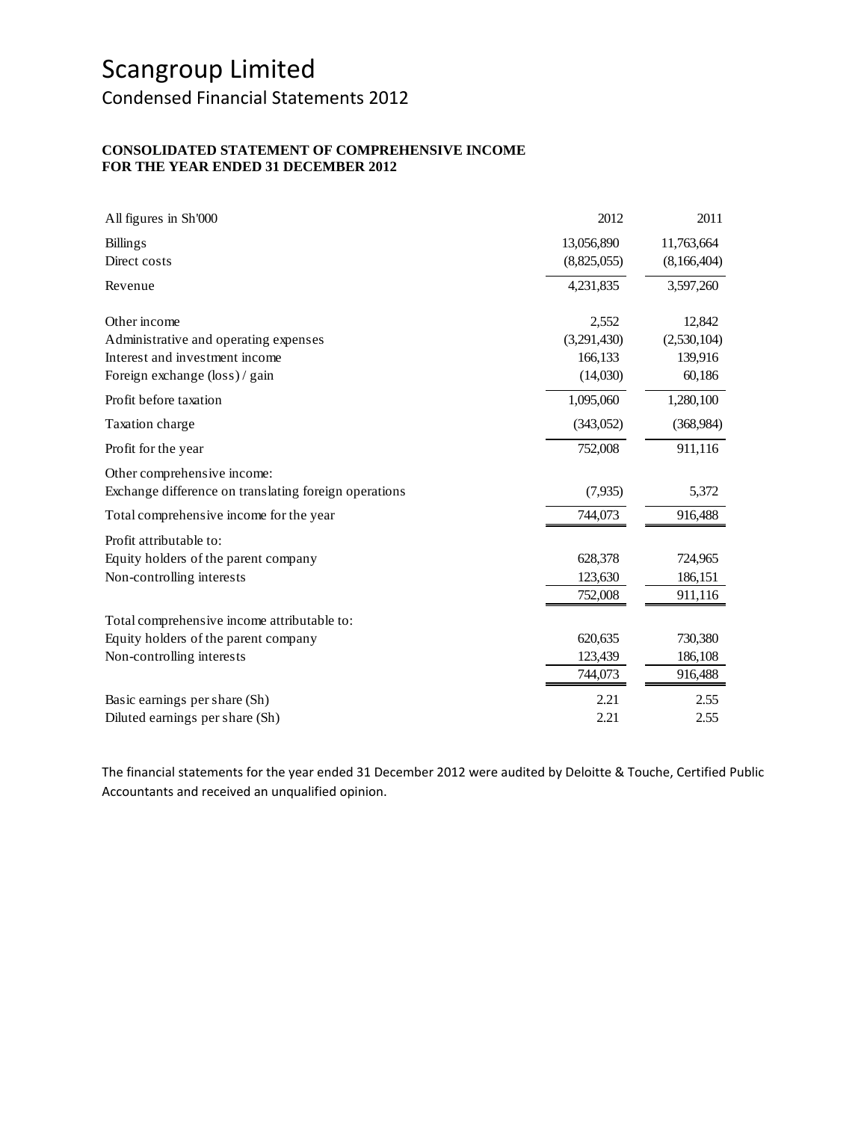Condensed Financial Statements 2012

#### **CONSOLIDATED STATEMENT OF COMPREHENSIVE INCOME FOR THE YEAR ENDED 31 DECEMBER 2012**

| All figures in Sh'000                                 | 2012        | 2011        |
|-------------------------------------------------------|-------------|-------------|
| <b>Billings</b>                                       | 13,056,890  | 11,763,664  |
| Direct costs                                          | (8,825,055) | (8,166,404) |
| Revenue                                               | 4,231,835   | 3,597,260   |
| Other income                                          | 2,552       | 12,842      |
| Administrative and operating expenses                 | (3,291,430) | (2,530,104) |
| Interest and investment income                        | 166,133     | 139,916     |
| Foreign exchange (loss) / gain                        | (14,030)    | 60,186      |
| Profit before taxation                                | 1,095,060   | 1,280,100   |
| Taxation charge                                       | (343,052)   | (368, 984)  |
| Profit for the year                                   | 752,008     | 911,116     |
| Other comprehensive income:                           |             |             |
| Exchange difference on translating foreign operations | (7,935)     | 5,372       |
| Total comprehensive income for the year               | 744,073     | 916,488     |
| Profit attributable to:                               |             |             |
| Equity holders of the parent company                  | 628,378     | 724,965     |
| Non-controlling interests                             | 123,630     | 186,151     |
|                                                       | 752,008     | 911,116     |
| Total comprehensive income attributable to:           |             |             |
| Equity holders of the parent company                  | 620,635     | 730,380     |
| Non-controlling interests                             | 123,439     | 186,108     |
|                                                       | 744,073     | 916,488     |
| Basic earnings per share (Sh)                         | 2.21        | 2.55        |
| Diluted earnings per share (Sh)                       | 2.21        | 2.55        |

The financial statements for the year ended 31 December 2012 were audited by Deloitte & Touche, Certified Public Accountants and received an unqualified opinion.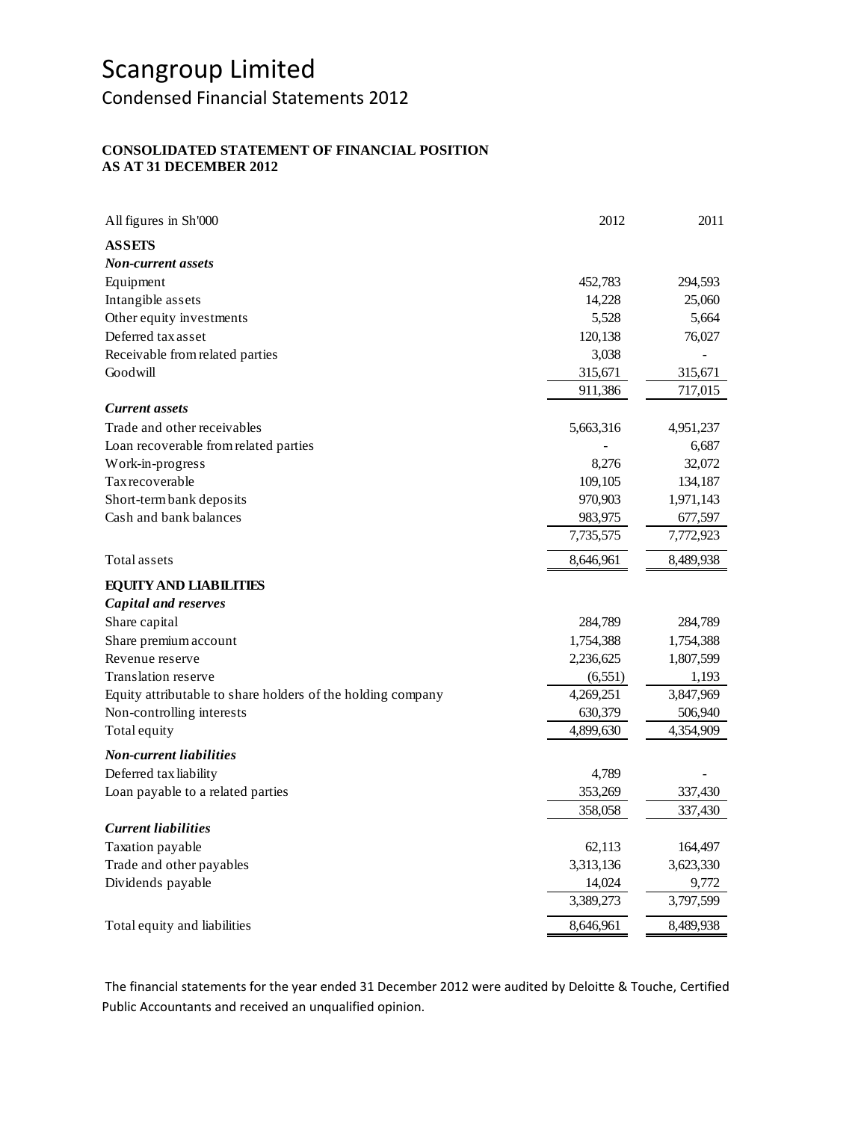Condensed Financial Statements 2012

### **CONSOLIDATED STATEMENT OF FINANCIAL POSITION AS AT 31 DECEMBER 2012**

| All figures in Sh'000                                       | 2012      | 2011      |
|-------------------------------------------------------------|-----------|-----------|
| <b>ASSETS</b>                                               |           |           |
| <b>Non-current assets</b>                                   |           |           |
| Equipment                                                   | 452,783   | 294,593   |
| Intangible assets                                           | 14,228    | 25,060    |
| Other equity investments                                    | 5,528     | 5,664     |
| Deferred tax asset                                          | 120,138   | 76,027    |
| Receivable from related parties                             | 3,038     |           |
| Goodwill                                                    | 315,671   | 315,671   |
|                                                             | 911,386   | 717,015   |
| <b>Current assets</b>                                       |           |           |
| Trade and other receivables                                 | 5,663,316 | 4,951,237 |
| Loan recoverable from related parties                       |           | 6,687     |
| Work-in-progress                                            | 8,276     | 32,072    |
| Tax recoverable                                             | 109,105   | 134,187   |
| Short-term bank deposits                                    | 970,903   | 1,971,143 |
| Cash and bank balances                                      | 983,975   | 677,597   |
|                                                             | 7,735,575 | 7,772,923 |
| Total assets                                                | 8,646,961 | 8,489,938 |
| <b>EQUITY AND LIABILITIES</b>                               |           |           |
| <b>Capital and reserves</b>                                 |           |           |
| Share capital                                               | 284,789   | 284,789   |
| Share premium account                                       | 1,754,388 | 1,754,388 |
| Revenue reserve                                             | 2,236,625 | 1,807,599 |
| Translation reserve                                         | (6, 551)  | 1,193     |
| Equity attributable to share holders of the holding company | 4,269,251 | 3,847,969 |
| Non-controlling interests                                   | 630,379   | 506,940   |
| Total equity                                                | 4,899,630 | 4,354,909 |
| <b>Non-current liabilities</b>                              |           |           |
| Deferred tax liability                                      | 4,789     |           |
| Loan payable to a related parties                           | 353,269   | 337,430   |
|                                                             | 358,058   | 337,430   |
| <b>Current liabilities</b>                                  |           |           |
| Taxation payable                                            | 62,113    | 164,497   |
| Trade and other payables                                    | 3,313,136 | 3,623,330 |
| Dividends payable                                           | 14,024    | 9,772     |
|                                                             | 3,389,273 | 3,797,599 |
| Total equity and liabilities                                | 8,646,961 | 8,489,938 |

The financial statements for the year ended 31 December 2012 were audited by Deloitte & Touche, Certified Public Accountants and received an unqualified opinion.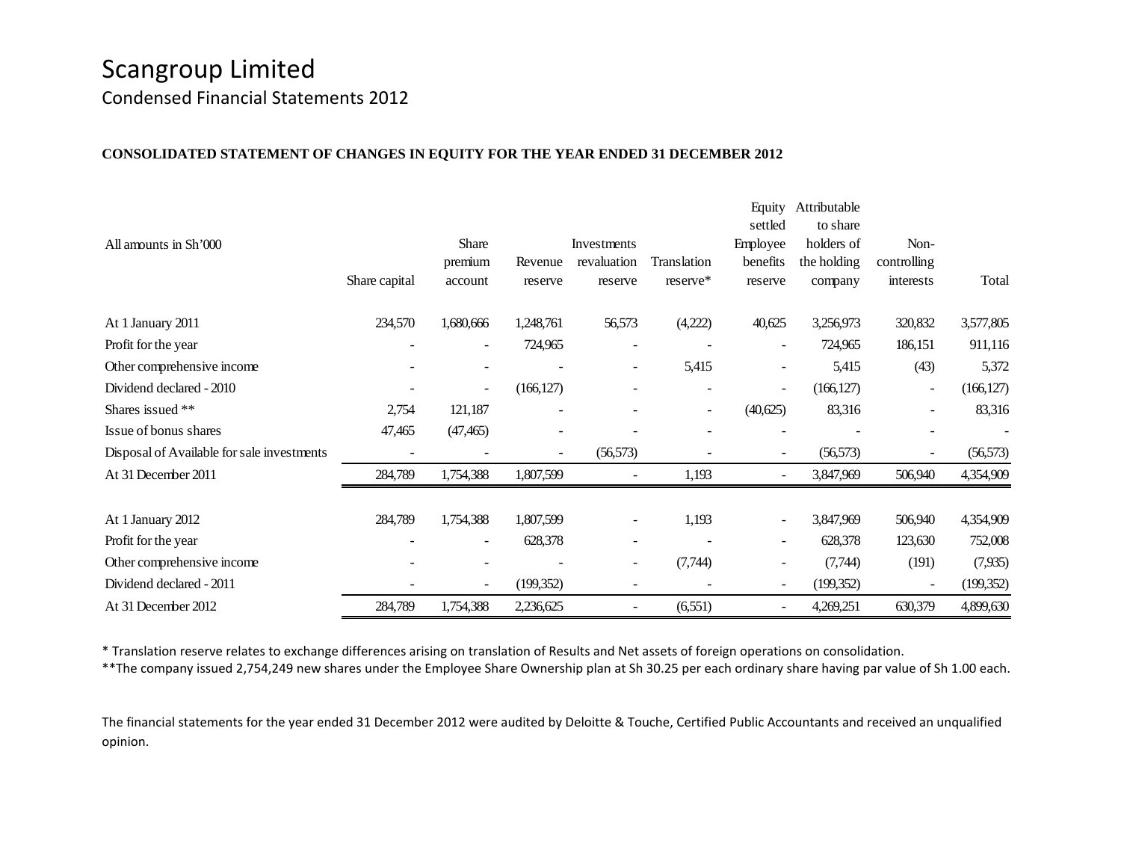Condensed Financial Statements 2012

#### **CONSOLIDATED STATEMENT OF CHANGES IN EQUITY FOR THE YEAR ENDED 31 DECEMBER 2012**

|                                            |                |                          |            |                          |                          | Equity                   | Attributable |             |            |
|--------------------------------------------|----------------|--------------------------|------------|--------------------------|--------------------------|--------------------------|--------------|-------------|------------|
|                                            |                |                          |            |                          |                          | settled                  | to share     |             |            |
| All amounts in Sh'000                      |                | Share                    |            | Investments              |                          | Employee                 | holders of   | Non-        |            |
|                                            |                | premium                  | Revenue    | revaluation              | Translation              | benefits                 | the holding  | controlling |            |
|                                            | Share capital  | account                  | reserve    | reserve                  | reserve*                 | reserve                  | company      | interests   | Total      |
| At 1 January 2011                          | 234,570        | 1,680,666                | 1,248,761  | 56,573                   | (4,222)                  | 40,625                   | 3,256,973    | 320,832     | 3,577,805  |
| Profit for the year                        | $\overline{a}$ | $\sim$                   | 724,965    | $\overline{a}$           |                          | $\overline{\phantom{a}}$ | 724,965      | 186,151     | 911,116    |
| Other comprehensive income                 |                | $\overline{\phantom{a}}$ |            | $\overline{\phantom{a}}$ | 5,415                    | $\sim$                   | 5,415        | (43)        | 5,372      |
| Dividend declared - 2010                   |                | $\overline{\phantom{a}}$ | (166, 127) |                          |                          | $\overline{\phantom{a}}$ | (166, 127)   | ۰           | (166, 127) |
| Shares issued **                           | 2,754          | 121,187                  |            |                          | $\overline{\phantom{a}}$ | (40,625)                 | 83,316       | -           | 83,316     |
| Issue of bonus shares                      | 47,465         | (47, 465)                |            |                          |                          |                          |              |             |            |
| Disposal of Available for sale investments |                |                          | ٠          | (56, 573)                |                          |                          | (56, 573)    |             | (56, 573)  |
| At 31 December 2011                        | 284,789        | 1,754,388                | 1,807,599  | $\overline{\phantom{a}}$ | 1,193                    |                          | 3,847,969    | 506,940     | 4,354,909  |
| At 1 January 2012                          | 284,789        | 1,754,388                | 1,807,599  | $\overline{\phantom{a}}$ | 1,193                    |                          | 3,847,969    | 506,940     | 4,354,909  |
| Profit for the year                        |                | $\blacksquare$           | 628,378    | $\overline{\phantom{0}}$ |                          | $\sim$                   | 628,378      | 123,630     | 752,008    |
| Other comprehensive income                 |                |                          |            | $\overline{\phantom{a}}$ | (7,744)                  |                          | (7,744)      | (191)       | (7,935)    |
| Dividend declared - 2011                   |                | $\overline{\phantom{a}}$ | (199, 352) |                          |                          |                          | (199, 352)   |             | (199, 352) |
| At 31 December 2012                        | 284,789        | 1,754,388                | 2,236,625  |                          | (6, 551)                 |                          | 4,269,251    | 630,379     | 4,899,630  |

\* Translation reserve relates to exchange differences arising on translation of Results and Net assets of foreign operations on consolidation.

\*\*The company issued 2,754,249 new shares under the Employee Share Ownership plan at Sh 30.25 per each ordinary share having par value of Sh 1.00 each.

The financial statements for the year ended 31 December 2012 were audited by Deloitte & Touche, Certified Public Accountants and received an unqualified opinion.